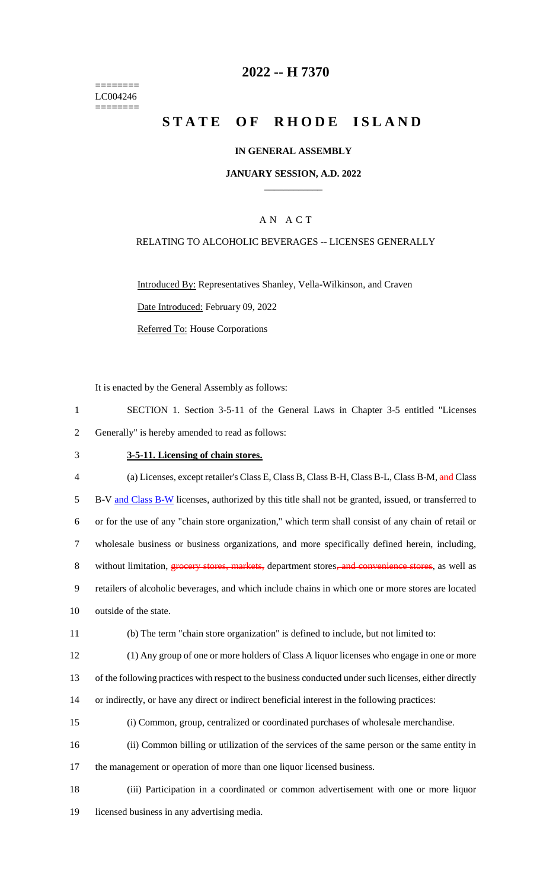======== LC004246 ========

## **2022 -- H 7370**

# **STATE OF RHODE ISLAND**

#### **IN GENERAL ASSEMBLY**

#### **JANUARY SESSION, A.D. 2022 \_\_\_\_\_\_\_\_\_\_\_\_**

### A N A C T

#### RELATING TO ALCOHOLIC BEVERAGES -- LICENSES GENERALLY

Introduced By: Representatives Shanley, Vella-Wilkinson, and Craven Date Introduced: February 09, 2022 Referred To: House Corporations

It is enacted by the General Assembly as follows:

| SECTION 1. Section 3-5-11 of the General Laws in Chapter 3-5 entitled "Licenses" |  |  |  |  |
|----------------------------------------------------------------------------------|--|--|--|--|
| 2 Generally" is hereby amended to read as follows:                               |  |  |  |  |

#### 3 **3-5-11. Licensing of chain stores.**

| $\overline{4}$ | (a) Licenses, except retailer's Class E, Class B, Class B-H, Class B-L, Class B-M, and Class         |
|----------------|------------------------------------------------------------------------------------------------------|
| 5.             | B-V and Class B-W licenses, authorized by this title shall not be granted, issued, or transferred to |
| 6              | or for the use of any "chain store organization," which term shall consist of any chain of retail or |
|                | wholesale business or business organizations, and more specifically defined herein, including,       |
| 8              | without limitation, groes we stores, markets, department stores, and convenience stores, as well as  |
| 9              | retailers of alcoholic beverages, and which include chains in which one or more stores are located   |
| 10             | outside of the state.                                                                                |
|                |                                                                                                      |

11 (b) The term "chain store organization" is defined to include, but not limited to:

12 (1) Any group of one or more holders of Class A liquor licenses who engage in one or more

13 of the following practices with respect to the business conducted under such licenses, either directly

- 14 or indirectly, or have any direct or indirect beneficial interest in the following practices:
- 15 (i) Common, group, centralized or coordinated purchases of wholesale merchandise.

16 (ii) Common billing or utilization of the services of the same person or the same entity in 17 the management or operation of more than one liquor licensed business.

18 (iii) Participation in a coordinated or common advertisement with one or more liquor 19 licensed business in any advertising media.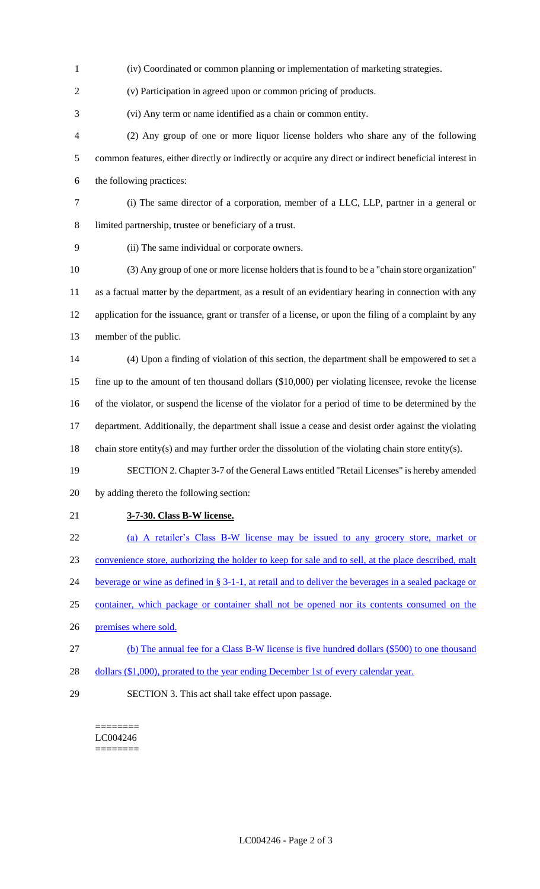(iv) Coordinated or common planning or implementation of marketing strategies.

(v) Participation in agreed upon or common pricing of products.

(vi) Any term or name identified as a chain or common entity.

- (2) Any group of one or more liquor license holders who share any of the following common features, either directly or indirectly or acquire any direct or indirect beneficial interest in the following practices:
- (i) The same director of a corporation, member of a LLC, LLP, partner in a general or limited partnership, trustee or beneficiary of a trust.
- 

(ii) The same individual or corporate owners.

 (3) Any group of one or more license holders that is found to be a "chain store organization" as a factual matter by the department, as a result of an evidentiary hearing in connection with any application for the issuance, grant or transfer of a license, or upon the filing of a complaint by any member of the public.

 (4) Upon a finding of violation of this section, the department shall be empowered to set a fine up to the amount of ten thousand dollars (\$10,000) per violating licensee, revoke the license of the violator, or suspend the license of the violator for a period of time to be determined by the department. Additionally, the department shall issue a cease and desist order against the violating chain store entity(s) and may further order the dissolution of the violating chain store entity(s).

- SECTION 2. Chapter 3-7 of the General Laws entitled "Retail Licenses" is hereby amended by adding thereto the following section:
- 

## **3-7-30. Class B-W license.**

(a) A retailer's Class B-W license may be issued to any grocery store, market or

convenience store, authorizing the holder to keep for sale and to sell, at the place described, malt

beverage or wine as defined in § 3-1-1, at retail and to deliver the beverages in a sealed package or

- container, which package or container shall not be opened nor its contents consumed on the
- premises where sold.
- (b) The annual fee for a Class B-W license is five hundred dollars (\$500) to one thousand
- dollars (\$1,000), prorated to the year ending December 1st of every calendar year.
- 

SECTION 3. This act shall take effect upon passage.

======== LC004246 ========